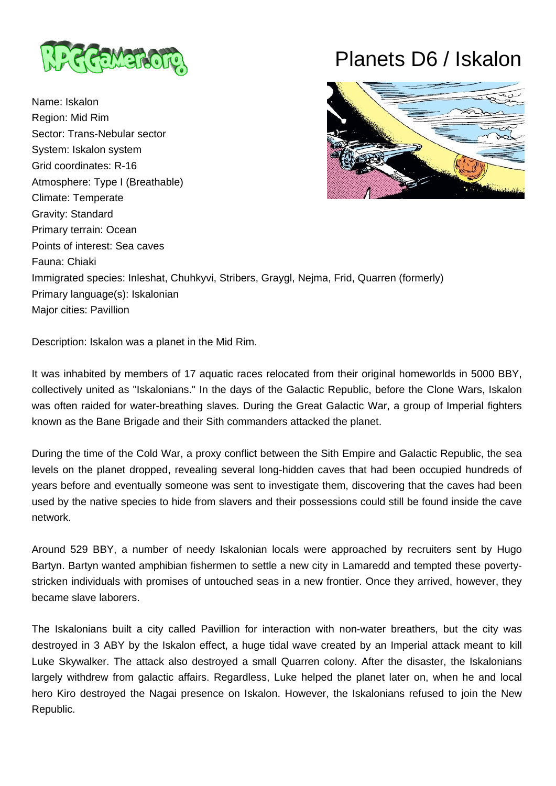

Name: Iskalon Region: Mid Rim Sector: Trans-Nebular sector System: Iskalon system Grid coordinates: R-16 Atmosphere: Type I (Breathable) Climate: Temperate Gravity: Standard Primary terrain: Ocean Points of interest: Sea caves Fauna: Chiaki Immigrated species: Inleshat, Chuhkyvi, Stribers, Graygl, Nejma, Frid, Quarren (formerly) Primary language(s): Iskalonian Major cities: Pavillion

## Planets D6 / Iskalon



Description: Iskalon was a planet in the Mid Rim.

It was inhabited by members of 17 aquatic races relocated from their original homeworlds in 5000 BBY, collectively united as "Iskalonians." In the days of the Galactic Republic, before the Clone Wars, Iskalon was often raided for water-breathing slaves. During the Great Galactic War, a group of Imperial fighters known as the Bane Brigade and their Sith commanders attacked the planet.

During the time of the Cold War, a proxy conflict between the Sith Empire and Galactic Republic, the sea levels on the planet dropped, revealing several long-hidden caves that had been occupied hundreds of years before and eventually someone was sent to investigate them, discovering that the caves had been used by the native species to hide from slavers and their possessions could still be found inside the cave network.

Around 529 BBY, a number of needy Iskalonian locals were approached by recruiters sent by Hugo Bartyn. Bartyn wanted amphibian fishermen to settle a new city in Lamaredd and tempted these povertystricken individuals with promises of untouched seas in a new frontier. Once they arrived, however, they became slave laborers.

The Iskalonians built a city called Pavillion for interaction with non-water breathers, but the city was destroyed in 3 ABY by the Iskalon effect, a huge tidal wave created by an Imperial attack meant to kill Luke Skywalker. The attack also destroyed a small Quarren colony. After the disaster, the Iskalonians largely withdrew from galactic affairs. Regardless, Luke helped the planet later on, when he and local hero Kiro destroyed the Nagai presence on Iskalon. However, the Iskalonians refused to join the New Republic.